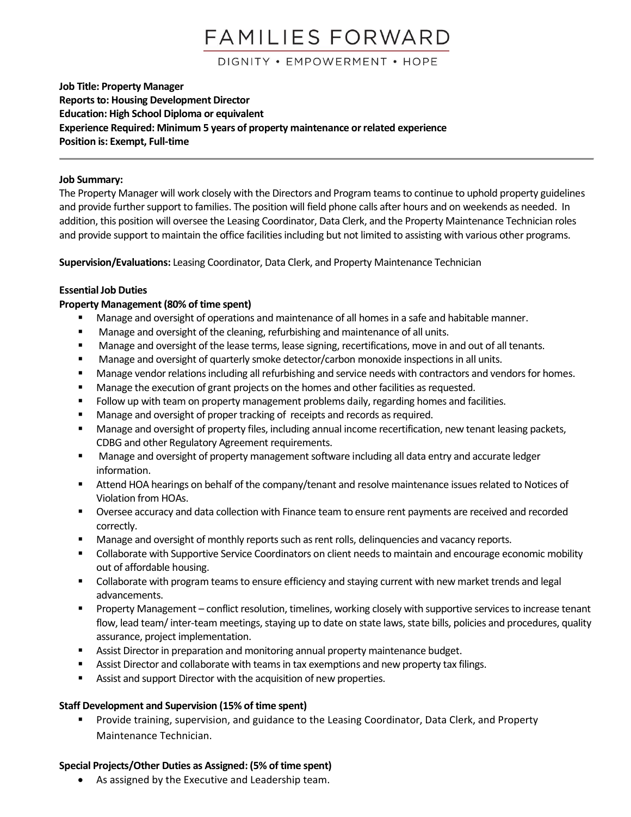# **FAMILIES FORWARD**

DIGNITY • EMPOWERMENT • HOPE

# **Job Title: Property Manager Reports to: Housing Development Director Education: High School Diploma or equivalent Experience Required: Minimum 5 years of property maintenance or related experience Position is: Exempt, Full-time**

# **Job Summary:**

The Property Manager will work closely with the Directors and Program teams to continue to uphold property guidelines and provide further support to families. The position will field phone calls after hours and on weekends as needed. In addition, this position will oversee the Leasing Coordinator, Data Clerk, and the Property Maintenance Technician roles and provide support to maintain the office facilities including but not limited to assisting with various other programs.

**Supervision/Evaluations:** Leasing Coordinator, Data Clerk, and Property Maintenance Technician

# **Essential Job Duties**

# **Property Management (80% of time spent)**

- Manage and oversight of operations and maintenance of all homes in a safe and habitable manner.
- Manage and oversight of the cleaning, refurbishing and maintenance of all units.
- Manage and oversight of the lease terms, lease signing, recertifications, move in and out of all tenants.
- Manage and oversight of quarterly smoke detector/carbon monoxide inspections in all units.
- Manage vendor relations including all refurbishing and service needs with contractors and vendors for homes.
- Manage the execution of grant projects on the homes and other facilities as requested.
- Follow up with team on property management problems daily, regarding homes and facilities.
- Manage and oversight of proper tracking of receipts and records as required.
- Manage and oversight of property files, including annual income recertification, new tenant leasing packets, CDBG and other Regulatory Agreement requirements.
- Manage and oversight of property management software including all data entry and accurate ledger information.
- Attend HOA hearings on behalf of the company/tenant and resolve maintenance issues related to Notices of Violation from HOAs.
- Oversee accuracy and data collection with Finance team to ensure rent payments are received and recorded correctly.
- Manage and oversight of monthly reports such as rent rolls, delinquencies and vacancy reports.
- Collaborate with Supportive Service Coordinators on client needs to maintain and encourage economic mobility out of affordable housing.
- **•** Collaborate with program teams to ensure efficiency and staying current with new market trends and legal advancements.
- Property Management conflict resolution, timelines, working closely with supportive services to increase tenant flow, lead team/inter-team meetings, staying up to date on state laws, state bills, policies and procedures, quality assurance, project implementation.
- Assist Director in preparation and monitoring annual property maintenance budget.
- Assist Director and collaborate with teams in tax exemptions and new property tax filings.
- Assist and support Director with the acquisition of new properties.

#### **Staff Development and Supervision (15% of time spent)**

▪ Provide training, supervision, and guidance to the Leasing Coordinator, Data Clerk, and Property Maintenance Technician.

#### **Special Projects/Other Duties as Assigned: (5% of time spent)**

• As assigned by the Executive and Leadership team.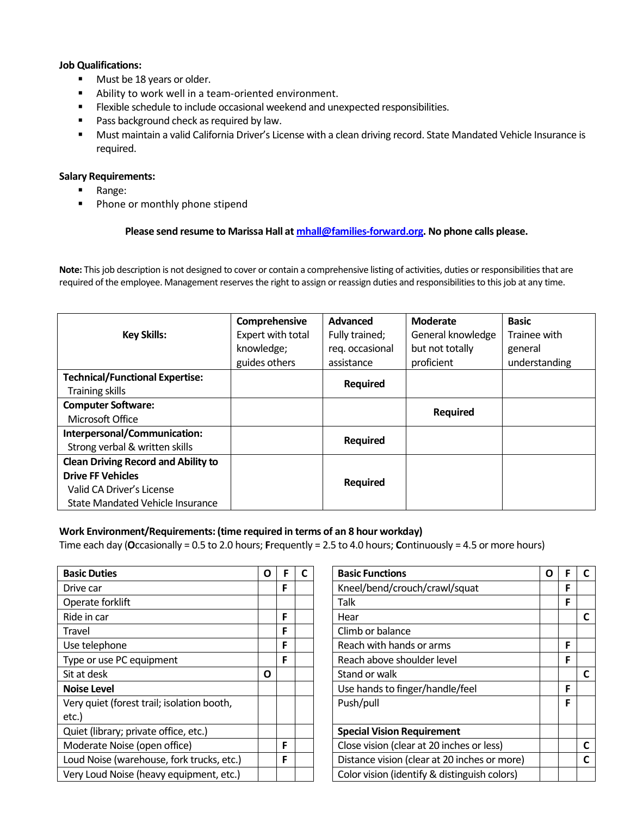# **Job Qualifications:**

- Must be 18 years or older.
- Ability to work well in a team-oriented environment.
- Flexible schedule to include occasional weekend and unexpected responsibilities.
- Pass background check as required by law.
- Must maintain a valid California Driver's License with a clean driving record. State Mandated Vehicle Insurance is required.

## **Salary Requirements:**

- Range:
- Phone or monthly phone stipend

#### **Please send resume to Marissa Hall a[t mhall@families-forward.org.](mailto:mhall@families-forward.org) No phone calls please.**

**Note:** This job description is not designed to cover or contain a comprehensive listing of activities, duties or responsibilities that are required of the employee. Management reserves the right to assign or reassign duties and responsibilities to this job at any time.

| <b>Key Skills:</b>                         | Comprehensive<br>Expert with total | Advanced<br>Fully trained; | Moderate<br>General knowledge | <b>Basic</b><br>Trainee with |
|--------------------------------------------|------------------------------------|----------------------------|-------------------------------|------------------------------|
|                                            | knowledge;                         | req. occasional            | but not totally               | general                      |
|                                            | guides others                      | assistance                 | proficient                    | understanding                |
| <b>Technical/Functional Expertise:</b>     |                                    | <b>Required</b>            |                               |                              |
| <b>Training skills</b>                     |                                    |                            |                               |                              |
| <b>Computer Software:</b>                  |                                    |                            | <b>Required</b>               |                              |
| Microsoft Office                           |                                    |                            |                               |                              |
| Interpersonal/Communication:               |                                    | <b>Required</b>            |                               |                              |
| Strong verbal & written skills             |                                    |                            |                               |                              |
| <b>Clean Driving Record and Ability to</b> |                                    |                            |                               |                              |
| <b>Drive FF Vehicles</b>                   |                                    |                            |                               |                              |
| Valid CA Driver's License                  |                                    | <b>Required</b>            |                               |                              |
| <b>State Mandated Vehicle Insurance</b>    |                                    |                            |                               |                              |

#### **Work Environment/Requirements: (time required in terms of an 8 hour workday)**

Time each day (**O**ccasionally = 0.5 to 2.0 hours; **F**requently = 2.5 to 4.0 hours; **C**ontinuously = 4.5 or more hours)

| <b>Basic Duties</b>                        | Ο | F. | C | <b>Basic Functions</b>                       | O | F |
|--------------------------------------------|---|----|---|----------------------------------------------|---|---|
| Drive car                                  |   | F  |   | Kneel/bend/crouch/crawl/squat                |   |   |
|                                            |   |    |   |                                              |   |   |
| Operate forklift                           |   |    |   | <b>Talk</b>                                  |   | F |
| Ride in car                                |   | F  |   | Hear                                         |   |   |
| Travel                                     |   | F  |   | Climb or balance                             |   |   |
| Use telephone                              |   | F  |   | Reach with hands or arms                     |   |   |
| Type or use PC equipment                   |   | F  |   | Reach above shoulder level                   |   | F |
| Sit at desk                                | Ο |    |   | Stand or walk                                |   |   |
| <b>Noise Level</b>                         |   |    |   | Use hands to finger/handle/feel              |   | F |
| Very quiet (forest trail; isolation booth, |   |    |   | Push/pull                                    |   | F |
| etc.)                                      |   |    |   |                                              |   |   |
| Quiet (library; private office, etc.)      |   |    |   | <b>Special Vision Requirement</b>            |   |   |
| Moderate Noise (open office)               |   | F  |   | Close vision (clear at 20 inches or less)    |   |   |
| Loud Noise (warehouse, fork trucks, etc.)  |   | F  |   | Distance vision (clear at 20 inches or more) |   |   |
| Very Loud Noise (heavy equipment, etc.)    |   |    |   | Color vision (identify & distinguish colors) |   |   |

| <b>Basic Duties</b>                        | O | F |  | <b>Basic Functions</b>                       | O | F |   |
|--------------------------------------------|---|---|--|----------------------------------------------|---|---|---|
| Drive car                                  |   | F |  | Kneel/bend/crouch/crawl/squat                |   | F |   |
| Operate forklift                           |   |   |  | Talk                                         |   | F |   |
| Ride in car                                |   | F |  | Hear                                         |   |   | С |
| Travel                                     |   | F |  | Climb or balance                             |   |   |   |
| Use telephone                              |   | F |  | Reach with hands or arms                     |   | F |   |
| Type or use PC equipment                   |   | F |  | Reach above shoulder level                   |   | F |   |
| Sit at desk                                | O |   |  | Stand or walk                                |   |   | C |
| <b>Noise Level</b>                         |   |   |  | Use hands to finger/handle/feel              |   | F |   |
| Very quiet (forest trail; isolation booth, |   |   |  | Push/pull                                    |   | F |   |
| etc.)                                      |   |   |  |                                              |   |   |   |
| Quiet (library; private office, etc.)      |   |   |  | <b>Special Vision Requirement</b>            |   |   |   |
| Moderate Noise (open office)               |   | F |  | Close vision (clear at 20 inches or less)    |   |   | C |
| Loud Noise (warehouse, fork trucks, etc.)  |   | F |  | Distance vision (clear at 20 inches or more) |   |   | C |
| Very Loud Noise (heavy equipment, etc.)    |   |   |  | Color vision (identify & distinguish colors) |   |   |   |